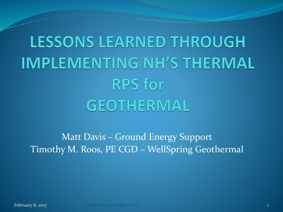# **LESSONS LEARNED THROUGH IMPLEMENTING NH'S THERMAL RPS** for GEOTHERMAL

### Matt Davis – Ground Energy Support Timothy M. Roos, PE CGD – WellSpring Geothermal

February 8, 2017 Ground Energy Support LLC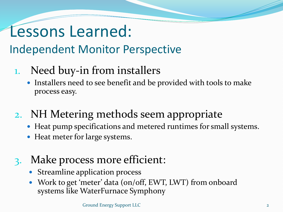## Lessons Learned:

### Independent Monitor Perspective

- 1. Need buy-in from installers
	- Installers need to see benefit and be provided with tools to make process easy.
- 2. NH Metering methods seem appropriate
	- Heat pump specifications and metered runtimes for small systems.
	- Heat meter for large systems.
- 3. Make process more efficient:
	- Streamline application process
	- Work to get 'meter' data (on/off, EWT, LWT) from onboard systems like WaterFurnace Symphony

Ground Energy Support LLC 2 2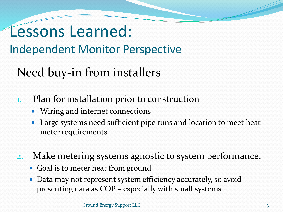## Lessons Learned: Independent Monitor Perspective

### Need buy-in from installers

- 1. Plan for installation prior to construction
	- Wiring and internet connections
	- Large systems need sufficient pipe runs and location to meet heat meter requirements.
- 2. Make metering systems agnostic to system performance.
	- Goal is to meter heat from ground
	- Data may not represent system efficiency accurately, so avoid presenting data as COP – especially with small systems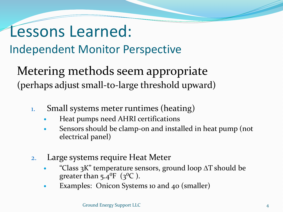### Lessons Learned:

Independent Monitor Perspective

Metering methods seem appropriate (perhaps adjust small-to-large threshold upward)

- 1. Small systems meter runtimes (heating)
	- Heat pumps need AHRI certifications
	- Sensors should be clamp-on and installed in heat pump (not electrical panel)
- 2. Large systems require Heat Meter
	- $\bullet$ "Class  $3K$ " temperature sensors, ground loop  $\Delta T$  should be greater than  $5.4^{\circ}F$  ( $3^{\circ}C$ ).
	- Examples: Onicon Systems 10 and 40 (smaller)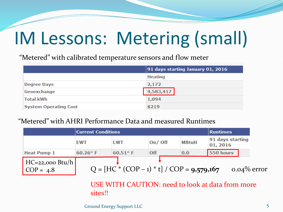# IM Lessons: Metering (small)

"Metered" with calibrated temperature sensors and flow meter

|                              | $ 91$ days starting January 01, 2016 |  |  |  |
|------------------------------|--------------------------------------|--|--|--|
|                              | <b>Heating</b>                       |  |  |  |
| <b>Degree Days</b>           | 2,172                                |  |  |  |
| Geoexchange                  | 9,583,417                            |  |  |  |
| <b>Total kWh</b>             | 1,094                                |  |  |  |
| <b>System Operating Cost</b> | \$219                                |  |  |  |

#### "Metered" with AHRI Performance Data and measured Runtimes

|                                  | <b>Current Conditions</b> |                                              |           |              | <b>Runtimes</b>              |                |
|----------------------------------|---------------------------|----------------------------------------------|-----------|--------------|------------------------------|----------------|
|                                  | <b>EWT</b>                | <b>LWT</b>                                   | $On/$ Off | <b>MBtuH</b> | 91 days starting<br>01, 2016 |                |
| <b>Heat Pump 1</b>               | $60.26^\circ$ F           | $60.51$ °F                                   | Off       | 0.0          | 550 hours                    |                |
| $HC=22,000$ Btu/h<br>$COP = 4.8$ |                           | $Q = [HC * (COP - 1) * t] / COP = 9.579.167$ |           |              |                              | $0.04\%$ error |

USE WITH CAUTION: need to look at data from more sites!!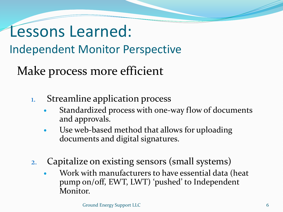### Lessons Learned: Independent Monitor Perspective

Make process more efficient

- 1. Streamline application process
	- Standardized process with one-way flow of documents and approvals.
	- Use web-based method that allows for uploading documents and digital signatures.
- 2. Capitalize on existing sensors (small systems)
	- Work with manufacturers to have essential data (heat pump on/off, EWT, LWT) 'pushed' to Independent Monitor.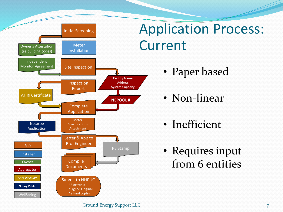

### Application Process: Current

- Paper based
- Non-linear
- Inefficient
- Requires input from 6 entities

#### Ground Energy Support LLC 7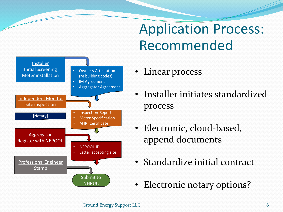### Application Process: Recommended



- Linear process
- Installer initiates standardized process
- Electronic, cloud-based, append documents
- Standardize initial contract
- Electronic notary options?

#### Ground Energy Support LLC 8